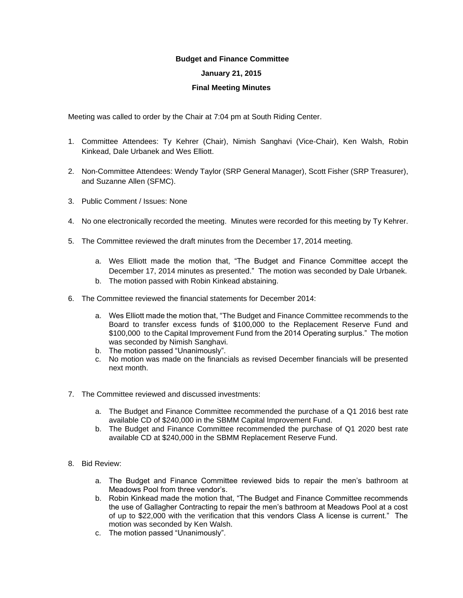## **Budget and Finance Committee**

## **January 21, 2015**

## **Final Meeting Minutes**

Meeting was called to order by the Chair at 7:04 pm at South Riding Center.

- 1. Committee Attendees: Ty Kehrer (Chair), Nimish Sanghavi (Vice-Chair), Ken Walsh, Robin Kinkead, Dale Urbanek and Wes Elliott.
- 2. Non-Committee Attendees: Wendy Taylor (SRP General Manager), Scott Fisher (SRP Treasurer), and Suzanne Allen (SFMC).
- 3. Public Comment / Issues: None
- 4. No one electronically recorded the meeting. Minutes were recorded for this meeting by Ty Kehrer.
- 5. The Committee reviewed the draft minutes from the December 17, 2014 meeting.
	- a. Wes Elliott made the motion that, "The Budget and Finance Committee accept the December 17, 2014 minutes as presented." The motion was seconded by Dale Urbanek.
	- b. The motion passed with Robin Kinkead abstaining.
- 6. The Committee reviewed the financial statements for December 2014:
	- a. Wes Elliott made the motion that, "The Budget and Finance Committee recommends to the Board to transfer excess funds of \$100,000 to the Replacement Reserve Fund and \$100,000 to the Capital Improvement Fund from the 2014 Operating surplus." The motion was seconded by Nimish Sanghavi.
	- b. The motion passed "Unanimously".
	- c. No motion was made on the financials as revised December financials will be presented next month.
- 7. The Committee reviewed and discussed investments:
	- a. The Budget and Finance Committee recommended the purchase of a Q1 2016 best rate available CD of \$240,000 in the SBMM Capital Improvement Fund.
	- b. The Budget and Finance Committee recommended the purchase of Q1 2020 best rate available CD at \$240,000 in the SBMM Replacement Reserve Fund.
- 8. Bid Review:
	- a. The Budget and Finance Committee reviewed bids to repair the men's bathroom at Meadows Pool from three vendor's.
	- b. Robin Kinkead made the motion that, "The Budget and Finance Committee recommends the use of Gallagher Contracting to repair the men's bathroom at Meadows Pool at a cost of up to \$22,000 with the verification that this vendors Class A license is current." The motion was seconded by Ken Walsh.
	- c. The motion passed "Unanimously".